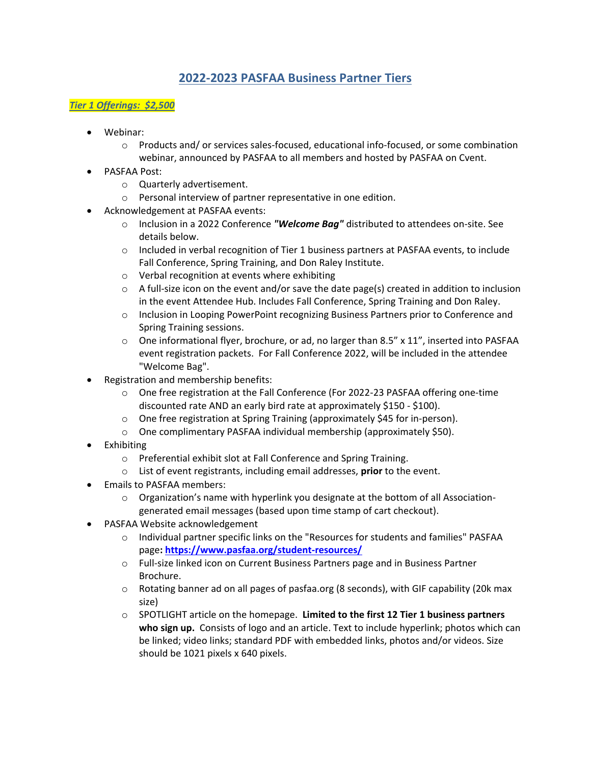# **2022-2023 PASFAA Business Partner Tiers**

## *Tier 1 Offerings: \$2,500*

- Webinar:
	- $\circ$  Products and/ or services sales-focused, educational info-focused, or some combination webinar, announced by PASFAA to all members and hosted by PASFAA on Cvent.
- PASFAA Post:
	- o Quarterly advertisement.
	- o Personal interview of partner representative in one edition.
- Acknowledgement at PASFAA events:
	- o Inclusion in a 2022 Conference *"Welcome Bag"* distributed to attendees on-site. See details below.
	- o Included in verbal recognition of Tier 1 business partners at PASFAA events, to include Fall Conference, Spring Training, and Don Raley Institute.
	- o Verbal recognition at events where exhibiting
	- $\circ$  A full-size icon on the event and/or save the date page(s) created in addition to inclusion in the event Attendee Hub. Includes Fall Conference, Spring Training and Don Raley.
	- o Inclusion in Looping PowerPoint recognizing Business Partners prior to Conference and Spring Training sessions.
	- $\circ$  One informational flyer, brochure, or ad, no larger than 8.5" x 11", inserted into PASFAA event registration packets. For Fall Conference 2022, will be included in the attendee "Welcome Bag".
- Registration and membership benefits:
	- o One free registration at the Fall Conference (For 2022-23 PASFAA offering one-time discounted rate AND an early bird rate at approximately \$150 - \$100).
	- o One free registration at Spring Training (approximately \$45 for in-person).
	- o One complimentary PASFAA individual membership (approximately \$50).
- **Exhibiting** 
	- o Preferential exhibit slot at Fall Conference and Spring Training.
	- o List of event registrants, including email addresses, **prior** to the event.
- Emails to PASFAA members:
	- o Organization's name with hyperlink you designate at the bottom of all Associationgenerated email messages (based upon time stamp of cart checkout).
- PASFAA Website acknowledgement
	- o Individual partner specific links on the "Resources for students and families" PASFAA page**:<https://www.pasfaa.org/student-resources/>**
	- o Full-size linked icon on Current Business Partners page and in Business Partner Brochure.
	- o Rotating banner ad on all pages of pasfaa.org (8 seconds), with GIF capability (20k max size)
	- o SPOTLIGHT article on the homepage. **Limited to the first 12 Tier 1 business partners who sign up.** Consists of logo and an article. Text to include hyperlink; photos which can be linked; video links; standard PDF with embedded links, photos and/or videos. Size should be 1021 pixels x 640 pixels.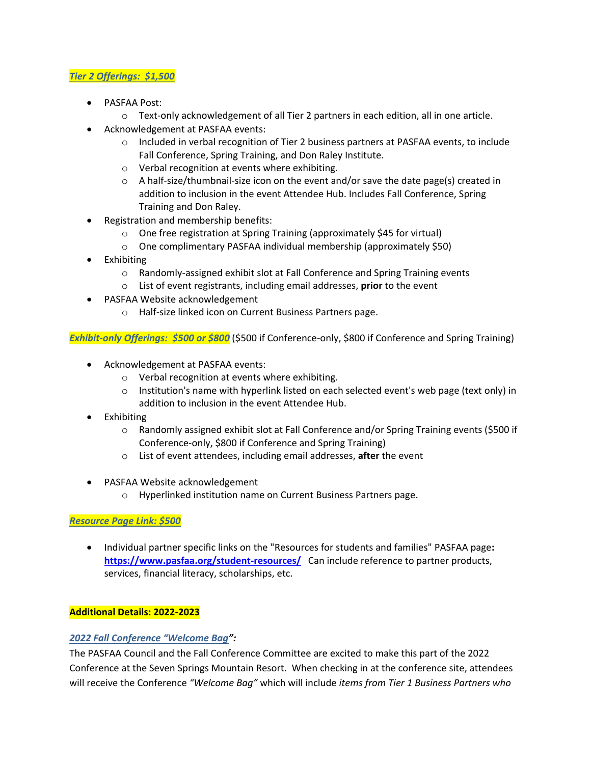### *Tier 2 Offerings: \$1,500*

- PASFAA Post:
	- $\circ$  Text-only acknowledgement of all Tier 2 partners in each edition, all in one article.
- Acknowledgement at PASFAA events:
	- o Included in verbal recognition of Tier 2 business partners at PASFAA events, to include Fall Conference, Spring Training, and Don Raley Institute.
	- o Verbal recognition at events where exhibiting.
	- $\circ$  A half-size/thumbnail-size icon on the event and/or save the date page(s) created in addition to inclusion in the event Attendee Hub. Includes Fall Conference, Spring Training and Don Raley.
- Registration and membership benefits:
	- o One free registration at Spring Training (approximately \$45 for virtual)
	- o One complimentary PASFAA individual membership (approximately \$50)
- Exhibiting
	- o Randomly-assigned exhibit slot at Fall Conference and Spring Training events
	- o List of event registrants, including email addresses, **prior** to the event
- PASFAA Website acknowledgement
	- o Half-size linked icon on Current Business Partners page.

*Exhibit-only Offerings: \$500 or \$800* (\$500 if Conference-only, \$800 if Conference and Spring Training)

- Acknowledgement at PASFAA events:
	- o Verbal recognition at events where exhibiting.
	- $\circ$  Institution's name with hyperlink listed on each selected event's web page (text only) in addition to inclusion in the event Attendee Hub.
- Exhibiting
	- o Randomly assigned exhibit slot at Fall Conference and/or Spring Training events (\$500 if Conference-only, \$800 if Conference and Spring Training)
	- o List of event attendees, including email addresses, **after** the event
- PASFAA Website acknowledgement
	- o Hyperlinked institution name on Current Business Partners page.

### *Resource Page Link: \$500*

• Individual partner specific links on the "Resources for students and families" PASFAA page**: <https://www.pasfaa.org/student-resources/>**Can include reference to partner products, services, financial literacy, scholarships, etc.

### **Additional Details: 2022-2023**

### *2022 Fall Conference "Welcome Bag":*

The PASFAA Council and the Fall Conference Committee are excited to make this part of the 2022 Conference at the Seven Springs Mountain Resort. When checking in at the conference site, attendees will receive the Conference *"Welcome Bag"* which will include *items from Tier 1 Business Partners who*